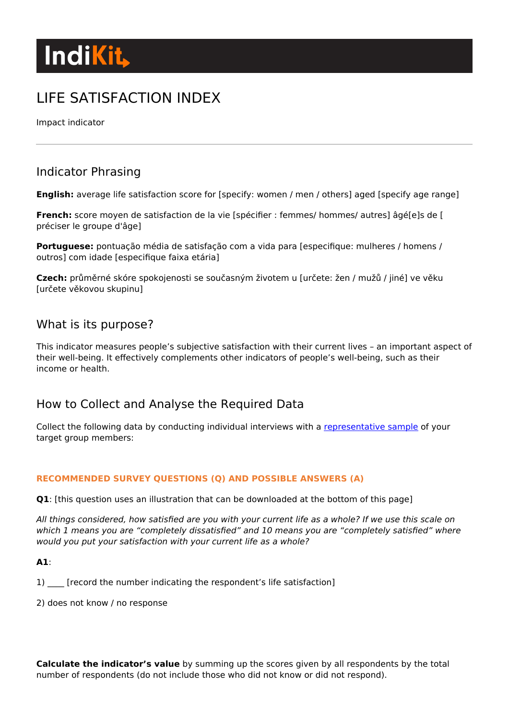# **Indikit**

## LIFE SATISFACTION INDEX

Impact indicator

## Indicator Phrasing

**English:** average life satisfaction score for [specify: women / men / others] aged [specify age range]

**French:** score moyen de satisfaction de la vie [spécifier : femmes/ hommes/ autres] âgé[e]s de [ préciser le groupe d'âge]

**Portuguese:** pontuação média de satisfação com a vida para [especifique: mulheres / homens / outros] com idade [especifique faixa etária]

**Czech:** průměrné skóre spokojenosti se současným životem u [určete: žen / mužů / jiné] ve věku [určete věkovou skupinu]

### What is its purpose?

This indicator measures people's subjective satisfaction with their current lives – an important aspect of their well-being. It effectively complements other indicators of people's well-being, such as their income or health.

## How to Collect and Analyse the Required Data

Collect the following data by conducting individual interviews with a [representative sample](https://www.indikit.net/document/114-rapid-guide-to-survey-sampling) of your target group members:

#### **RECOMMENDED SURVEY QUESTIONS (Q) AND POSSIBLE ANSWERS (A)**

**Q1**: [this question uses an illustration that can be downloaded at the bottom of this page]

All things considered, how satisfied are you with your current life as a whole? If we use this scale on which 1 means you are "completely dissatisfied" and 10 means you are "completely satisfied" where would you put your satisfaction with your current life as a whole?

**A1**:

1) [record the number indicating the respondent's life satisfaction]

2) does not know / no response

**Calculate the indicator's value** by summing up the scores given by all respondents by the total number of respondents (do not include those who did not know or did not respond).